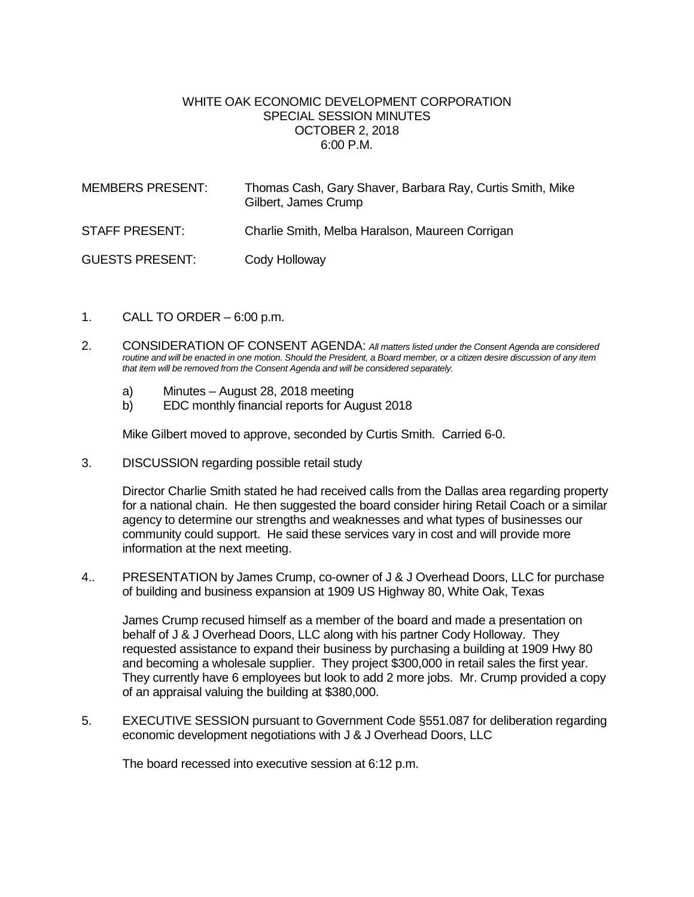## WHITE OAK ECONOMIC DEVELOPMENT CORPORATION SPECIAL SESSION MINUTES OCTOBER 2, 2018 6:00 P.M.

| <b>MEMBERS PRESENT:</b> | Thomas Cash, Gary Shaver, Barbara Ray, Curtis Smith, Mike<br>Gilbert, James Crump |
|-------------------------|-----------------------------------------------------------------------------------|
| STAFF PRESENT:          | Charlie Smith, Melba Haralson, Maureen Corrigan                                   |
| <b>GUESTS PRESENT:</b>  | Cody Holloway                                                                     |

- 1. CALL TO ORDER  $-6:00$  p.m.
- 2. CONSIDERATION OF CONSENT AGENDA: *All matters listed under the Consent Agenda are considered routine and will be enacted in one motion. Should the President, a Board member, or a citizen desire discussion of any item that item will be removed from the Consent Agenda and will be considered separately.*
	- a) Minutes August 28, 2018 meeting
	- b) EDC monthly financial reports for August 2018

Mike Gilbert moved to approve, seconded by Curtis Smith. Carried 6-0.

3. DISCUSSION regarding possible retail study

Director Charlie Smith stated he had received calls from the Dallas area regarding property for a national chain. He then suggested the board consider hiring Retail Coach or a similar agency to determine our strengths and weaknesses and what types of businesses our community could support. He said these services vary in cost and will provide more information at the next meeting.

4.. PRESENTATION by James Crump, co-owner of J & J Overhead Doors, LLC for purchase of building and business expansion at 1909 US Highway 80, White Oak, Texas

James Crump recused himself as a member of the board and made a presentation on behalf of J & J Overhead Doors, LLC along with his partner Cody Holloway. They requested assistance to expand their business by purchasing a building at 1909 Hwy 80 and becoming a wholesale supplier. They project \$300,000 in retail sales the first year. They currently have 6 employees but look to add 2 more jobs. Mr. Crump provided a copy of an appraisal valuing the building at \$380,000.

5. EXECUTIVE SESSION pursuant to Government Code §551.087 for deliberation regarding economic development negotiations with J & J Overhead Doors, LLC

The board recessed into executive session at 6:12 p.m.